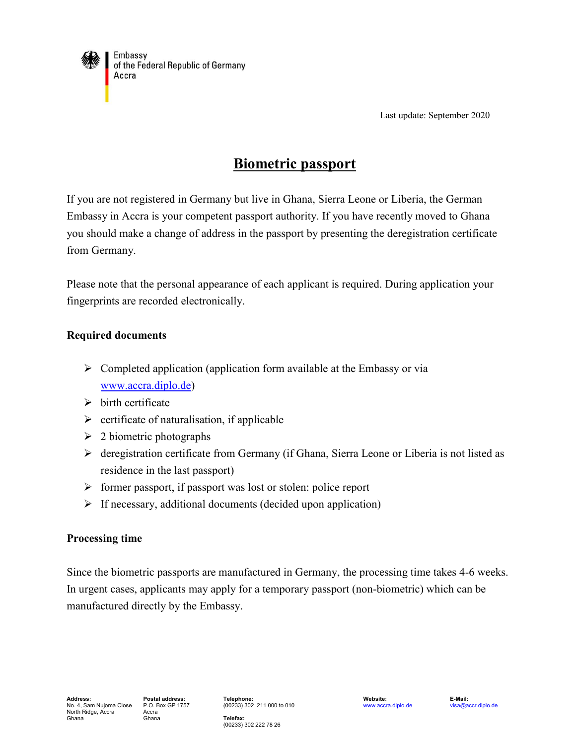

Last update: September 2020

# **Biometric passport**

If you are not registered in Germany but live in Ghana, Sierra Leone or Liberia, the German Embassy in Accra is your competent passport authority. If you have recently moved to Ghana you should make a change of address in the passport by presenting the deregistration certificate from Germany.

Please note that the personal appearance of each applicant is required. During application your fingerprints are recorded electronically.

## **Required documents**

- $\triangleright$  Completed application (application form available at the Embassy or via [www.accra.diplo.de\)](http://www.accra.diplo.de/)
- $\triangleright$  birth certificate
- $\triangleright$  certificate of naturalisation, if applicable
- $\geq 2$  biometric photographs
- deregistration certificate from Germany (if Ghana, Sierra Leone or Liberia is not listed as residence in the last passport)
- $\triangleright$  former passport, if passport was lost or stolen: police report
- $\triangleright$  If necessary, additional documents (decided upon application)

## **Processing time**

Since the biometric passports are manufactured in Germany, the processing time takes 4-6 weeks. In urgent cases, applicants may apply for a temporary passport (non-biometric) which can be manufactured directly by the Embassy.

(00233) 302 211 000 to 010

[www.accra.diplo.de](http://www.accra.diplo.de/) [visa@accr.diplo.de](mailto:visa@accr.diplo.de) 

**Telefax:** (00233) 302 222 78 26